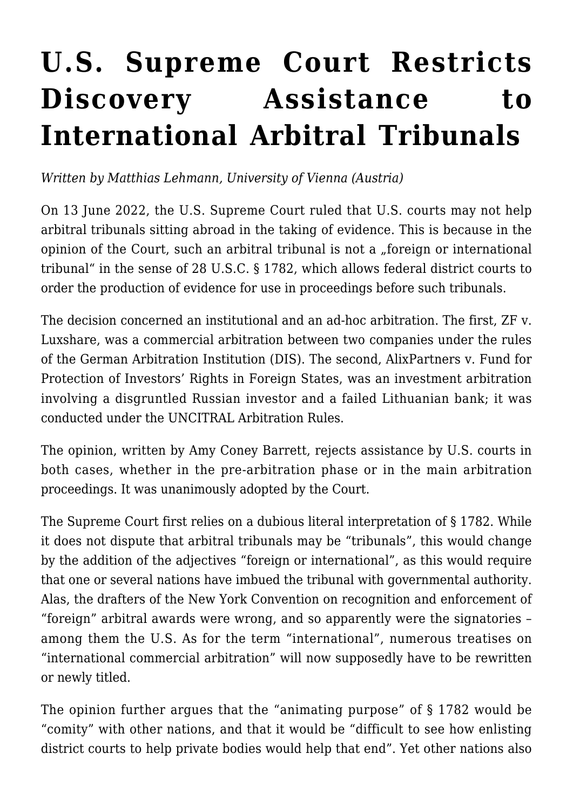## **[U.S. Supreme Court Restricts](https://conflictoflaws.net/2022/u-s-supreme-court-restricts-discovery-assistance-to-international-arbitral-tribunals/) [Discovery Assistance to](https://conflictoflaws.net/2022/u-s-supreme-court-restricts-discovery-assistance-to-international-arbitral-tribunals/) [International Arbitral Tribunals](https://conflictoflaws.net/2022/u-s-supreme-court-restricts-discovery-assistance-to-international-arbitral-tribunals/)**

*Written by Matthias Lehmann, University of Vienna (Austria)*

On 13 June 2022, the U.S. Supreme Court [ruled](https://www.supremecourt.gov/opinions/21pdf/21-401_2cp3.pdf) that U.S. courts may not help arbitral tribunals sitting abroad in the taking of evidence. This is because in the opinion of the Court, such an arbitral tribunal is not a "foreign or international tribunal" in the sense of [28 U.S.C. § 1782](https://www.law.cornell.edu/uscode/text/28/1782), which allows federal district courts to order the production of evidence for use in proceedings before such tribunals.

The decision concerned an institutional and an ad-hoc arbitration. The first, ZF v. Luxshare, was a commercial arbitration between two companies under the rules of the German Arbitration Institution (DIS). The second, AlixPartners v. Fund for Protection of Investors' Rights in Foreign States, was an investment arbitration involving a disgruntled Russian investor and a failed Lithuanian bank; it was conducted under the UNCITRAL Arbitration Rules.

The opinion, written by Amy Coney Barrett, rejects assistance by U.S. courts in both cases, whether in the pre-arbitration phase or in the main arbitration proceedings. It was unanimously adopted by the Court.

The Supreme Court first relies on a dubious literal interpretation of § 1782. While it does not dispute that arbitral tribunals may be "tribunals", this would change by the addition of the adjectives "foreign or international", as this would require that one or several nations have imbued the tribunal with governmental authority. Alas, the drafters of the New York Convention on recognition and enforcement of "foreign" arbitral awards were wrong, and so apparently were the signatories – among them the U.S. As for the term "international", numerous treatises on "international commercial arbitration" will now supposedly have to be rewritten or newly titled.

The opinion further argues that the "animating purpose" of § 1782 would be "comity" with other nations, and that it would be "difficult to see how enlisting district courts to help private bodies would help that end". Yet other nations also